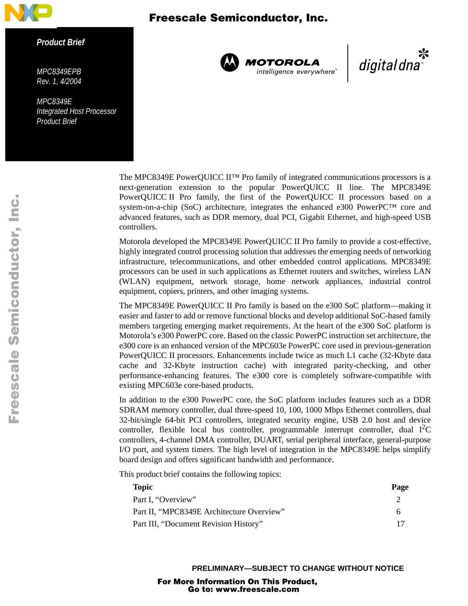

#### *Product Brief*

<span id="page-0-0"></span>*MPC8349EPB Rev. 1, 4/2004*

*MPC8349E Integrated Host Processor Product Brief*

#### Freescale Semiconductor, Inc.



**MOTOROLA** intelligence everywhere

digitaldna

The MPC8349E PowerQUICC II™ Pro family of integrated communications processors is a next-generation extension to the popular PowerQUICC II line. The MPC8349E PowerQUICC II Pro family, the first of the PowerQUICC II processors based on a system-on-a-chip (SoC) architecture, integrates the enhanced e300 PowerPC™ core and advanced features, such as DDR memory, dual PCI, Gigabit Ethernet, and high-speed USB controllers.

Motorola developed the MPC8349E PowerQUICC II Pro family to provide a cost-effective, highly integrated control processing solution that addresses the emerging needs of networking infrastructure, telecommunications, and other embedded control applications. MPC8349E processors can be used in such applications as Ethernet routers and switches, wireless LAN (WLAN) equipment, network storage, home network appliances, industrial control equipment, copiers, printers, and other imaging systems.

The MPC8349E PowerQUICC II Pro family is based on the e300 SoC platform—making it easier and faster to add or remove functional blocks and develop additional SoC-based family members targeting emerging market requirements. At the heart of the e300 SoC platform is Motorola's e300 PowerPC core. Based on the classic PowerPC instruction set architecture, the e300 core is an enhanced version of the MPC603e PowerPC core used in previous-generation PowerQUICC II processors. Enhancements include twice as much L1 cache (32-Kbyte data cache and 32-Kbyte instruction cache) with integrated parity-checking, and other performance-enhancing features. The e300 core is completely software-compatible with existing MPC603e core-based products.

In addition to the e300 PowerPC core, the SoC platform includes features such as a DDR SDRAM memory controller, dual three-speed 10, 100, 1000 Mbps Ethernet controllers, dual 32-bit/single 64-bit PCI controllers, integrated security engine, USB 2.0 host and device controller, flexible local bus controller, programmable interrupt controller, dual  $I<sup>2</sup>C$ controllers, 4-channel DMA controller, DUART, serial peripheral interface, general-purpose I/O port, and system timers. The high level of integration in the MPC8349E helps simplify board design and offers significant bandwidth and performance.

This product brief contains the following topics:

| <b>Topic</b>                              | Page |  |
|-------------------------------------------|------|--|
| Part I. "Overview"                        |      |  |
| Part II, "MPC8349E Architecture Overview" | h    |  |
| Part III, "Document Revision History"     |      |  |

**PRELIMINARY—SUBJECT TO CHANGE WITHOUT NOTICE**

For More Information On This Product, Go to: www.freescale.com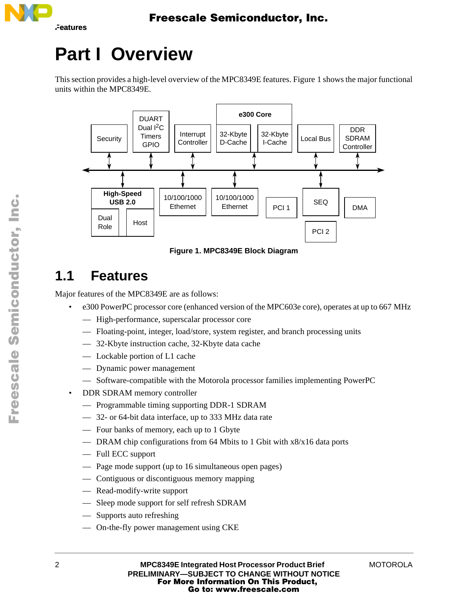

# <span id="page-1-0"></span>**Part I Overview**

This section provides a high-level overview of the MPC8349E features. [Figure 1](#page-1-1) shows the major functional units within the MPC8349E.



**Figure 1. MPC8349E Block Diagram**

## <span id="page-1-1"></span>**1.1 Features**

Major features of the MPC8349E are as follows:

- e300 PowerPC processor core (enhanced version of the MPC603e core), operates at up to 667 MHz
	- High-performance, superscalar processor core
	- Floating-point, integer, load/store, system register, and branch processing units
	- 32-Kbyte instruction cache, 32-Kbyte data cache
	- Lockable portion of L1 cache
	- Dynamic power management
	- Software-compatible with the Motorola processor families implementing PowerPC
- DDR SDRAM memory controller
	- Programmable timing supporting DDR-1 SDRAM
	- 32- or 64-bit data interface, up to 333 MHz data rate
	- Four banks of memory, each up to 1 Gbyte
	- DRAM chip configurations from 64 Mbits to 1 Gbit with x8/x16 data ports
	- Full ECC support
	- Page mode support (up to 16 simultaneous open pages)
	- Contiguous or discontiguous memory mapping
	- Read-modify-write support
	- Sleep mode support for self refresh SDRAM
	- Supports auto refreshing
	- On-the-fly power management using CKE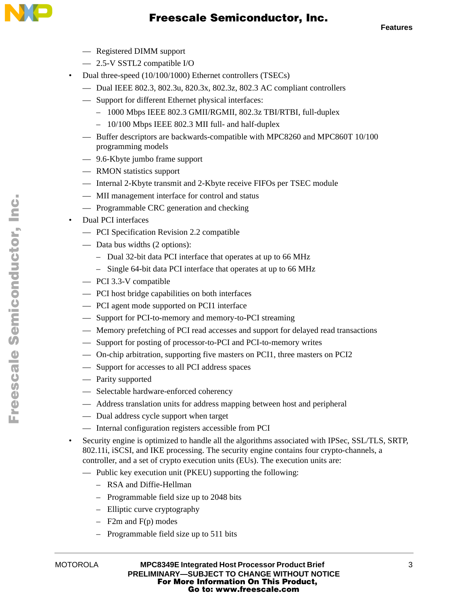

- Registered DIMM support
- 2.5-V SSTL2 compatible I/O
- Dual three-speed (10/100/1000) Ethernet controllers (TSECs)
	- Dual IEEE 802.3, 802.3u, 820.3x, 802.3z, 802.3 AC compliant controllers
	- Support for different Ethernet physical interfaces:
		- 1000 Mbps IEEE 802.3 GMII/RGMII, 802.3z TBI/RTBI, full-duplex
		- 10/100 Mbps IEEE 802.3 MII full- and half-duplex
	- Buffer descriptors are backwards-compatible with MPC8260 and MPC860T 10/100 programming models
	- 9.6-Kbyte jumbo frame support
	- RMON statistics support
	- Internal 2-Kbyte transmit and 2-Kbyte receive FIFOs per TSEC module
	- MII management interface for control and status
	- Programmable CRC generation and checking
	- Dual PCI interfaces
		- PCI Specification Revision 2.2 compatible
		- Data bus widths (2 options):
			- Dual 32-bit data PCI interface that operates at up to 66 MHz
			- Single 64-bit data PCI interface that operates at up to 66 MHz
		- PCI 3.3-V compatible
		- PCI host bridge capabilities on both interfaces
		- PCI agent mode supported on PCI1 interface
		- Support for PCI-to-memory and memory-to-PCI streaming
		- Memory prefetching of PCI read accesses and support for delayed read transactions
		- Support for posting of processor-to-PCI and PCI-to-memory writes
		- On-chip arbitration, supporting five masters on PCI1, three masters on PCI2
		- Support for accesses to all PCI address spaces
		- Parity supported
		- Selectable hardware-enforced coherency
		- Address translation units for address mapping between host and peripheral
		- Dual address cycle support when target
		- Internal configuration registers accessible from PCI
- Security engine is optimized to handle all the algorithms associated with IPSec, SSL/TLS, SRTP, 802.11i, iSCSI, and IKE processing. The security engine contains four crypto-channels, a controller, and a set of crypto execution units (EUs). The execution units are:
	- Public key execution unit (PKEU) supporting the following:
		- RSA and Diffie-Hellman
		- Programmable field size up to 2048 bits
		- Elliptic curve cryptography
		- F2m and F(p) modes
		- Programmable field size up to 511 bits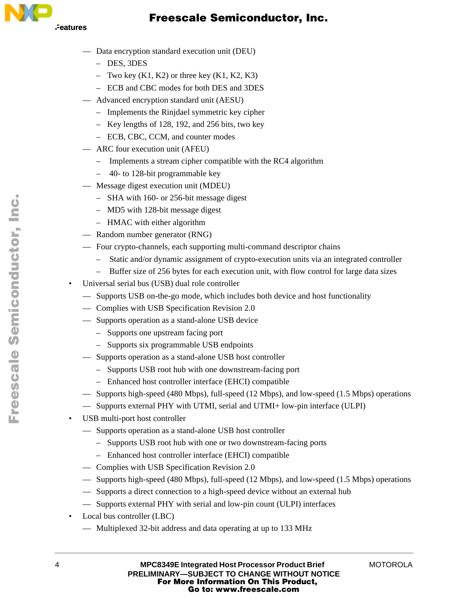

- Data encryption standard execution unit (DEU)
	- DES, 3DES
	- Two key  $(K1, K2)$  or three key  $(K1, K2, K3)$
	- ECB and CBC modes for both DES and 3DES
- Advanced encryption standard unit (AESU)
	- Implements the Rinjdael symmetric key cipher
	- Key lengths of 128, 192, and 256 bits, two key
	- ECB, CBC, CCM, and counter modes
- ARC four execution unit (AFEU)
	- Implements a stream cipher compatible with the RC4 algorithm
	- 40- to 128-bit programmable key
- Message digest execution unit (MDEU)
	- SHA with 160- or 256-bit message digest
	- MD5 with 128-bit message digest
	- HMAC with either algorithm
- Random number generator (RNG)
- Four crypto-channels, each supporting multi-command descriptor chains
	- Static and/or dynamic assignment of crypto-execution units via an integrated controller
	- Buffer size of 256 bytes for each execution unit, with flow control for large data sizes
- Universal serial bus (USB) dual role controller
	- Supports USB on-the-go mode, which includes both device and host functionality
	- Complies with USB Specification Revision 2.0
	- Supports operation as a stand-alone USB device
		- Supports one upstream facing port
		- Supports six programmable USB endpoints
	- Supports operation as a stand-alone USB host controller
		- Supports USB root hub with one downstream-facing port
		- Enhanced host controller interface (EHCI) compatible
	- Supports high-speed (480 Mbps), full-speed (12 Mbps), and low-speed (1.5 Mbps) operations
	- Supports external PHY with UTMI, serial and UTMI+ low-pin interface (ULPI)
- USB multi-port host controller
	- Supports operation as a stand-alone USB host controller
		- Supports USB root hub with one or two downstream-facing ports
		- Enhanced host controller interface (EHCI) compatible
	- Complies with USB Specification Revision 2.0
	- Supports high-speed (480 Mbps), full-speed (12 Mbps), and low-speed (1.5 Mbps) operations
	- Supports a direct connection to a high-speed device without an external hub
	- Supports external PHY with serial and low-pin count (ULPI) interfaces
- Local bus controller (LBC)
	- Multiplexed 32-bit address and data operating at up to 133 MHz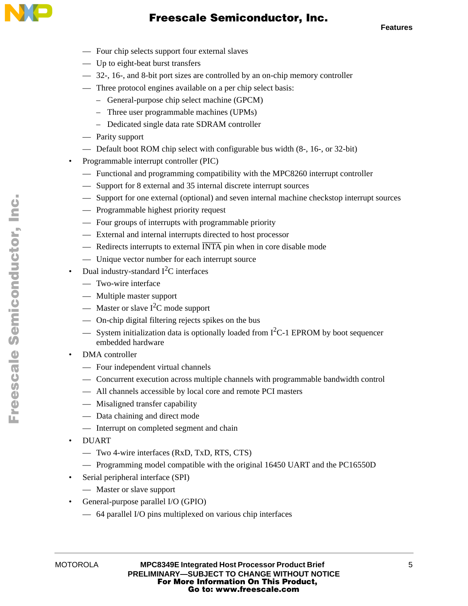

**Features**

- Four chip selects support four external slaves
- Up to eight-beat burst transfers
- 32-, 16-, and 8-bit port sizes are controlled by an on-chip memory controller
- Three protocol engines available on a per chip select basis:
	- General-purpose chip select machine (GPCM)
	- Three user programmable machines (UPMs)
	- Dedicated single data rate SDRAM controller
- Parity support
- Default boot ROM chip select with configurable bus width (8-, 16-, or 32-bit)
- Programmable interrupt controller (PIC)
	- Functional and programming compatibility with the MPC8260 interrupt controller
	- Support for 8 external and 35 internal discrete interrupt sources
	- Support for one external (optional) and seven internal machine checkstop interrupt sources
	- Programmable highest priority request
	- Four groups of interrupts with programmable priority
	- External and internal interrupts directed to host processor
	- $-$  Redirects interrupts to external  $\overline{INTA}$  pin when in core disable mode
	- Unique vector number for each interrupt source
- Dual industry-standard  $I<sup>2</sup>C$  interfaces
	- Two-wire interface
	- Multiple master support
	- Master or slave  $I^2C$  mode support
	- On-chip digital filtering rejects spikes on the bus
	- System initialization data is optionally loaded from  $I<sup>2</sup>C-1$  EPROM by boot sequencer embedded hardware
- DMA controller
	- Four independent virtual channels
	- Concurrent execution across multiple channels with programmable bandwidth control
	- All channels accessible by local core and remote PCI masters
	- Misaligned transfer capability
	- Data chaining and direct mode
	- Interrupt on completed segment and chain
- DUART
	- Two 4-wire interfaces (RxD, TxD, RTS, CTS)
	- Programming model compatible with the original 16450 UART and the PC16550D
- Serial peripheral interface (SPI)
	- Master or slave support
- General-purpose parallel I/O (GPIO)
	- 64 parallel I/O pins multiplexed on various chip interfaces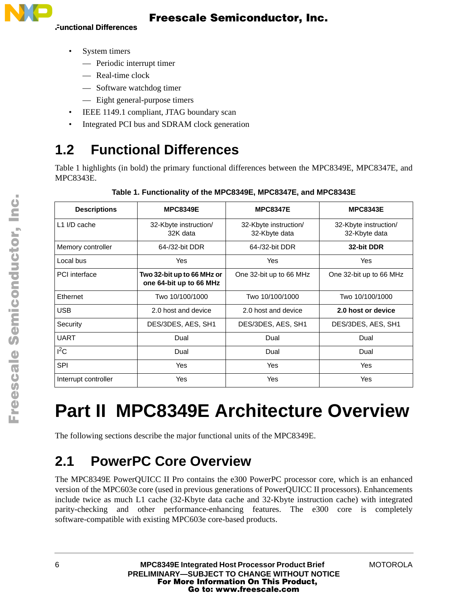**Functional Differences** 

- System timers
	- Periodic interrupt timer
	- Real-time clock
	- Software watchdog timer
	- Eight general-purpose timers
- IEEE 1149.1 compliant, JTAG boundary scan
- Integrated PCI bus and SDRAM clock generation

## **1.2 Functional Differences**

[Table 1](#page-5-1) highlights (in bold) the primary functional differences between the MPC8349E, MPC8347E, and MPC8343E.

<span id="page-5-1"></span>

| <b>Descriptions</b>  | <b>MPC8349E</b>                                       | <b>MPC8347E</b>                        | <b>MPC8343E</b>                        |
|----------------------|-------------------------------------------------------|----------------------------------------|----------------------------------------|
| L1 I/D cache         | 32-Kbyte instruction/<br>32K data                     | 32-Kbyte instruction/<br>32-Kbyte data | 32-Kbyte instruction/<br>32-Kbyte data |
| Memory controller    | 64-/32-bit DDR                                        | 64-/32-bit DDR                         | 32-bit DDR                             |
| Local bus            | Yes                                                   | Yes                                    | Yes                                    |
| <b>PCI</b> interface | Two 32-bit up to 66 MHz or<br>one 64-bit up to 66 MHz | One 32-bit up to 66 MHz                | One 32-bit up to 66 MHz                |
| Ethernet             | Two 10/100/1000                                       | Two 10/100/1000                        | Two 10/100/1000                        |
| <b>USB</b>           | 2.0 host and device                                   | 2.0 host and device                    | 2.0 host or device                     |
| Security             | DES/3DES, AES, SH1                                    | DES/3DES, AES, SH1                     | DES/3DES, AES, SH1                     |
| <b>UART</b>          | Dual                                                  | Dual                                   | Dual                                   |
| $I^2C$               | Dual                                                  | Dual                                   | Dual                                   |
| <b>SPI</b>           | Yes                                                   | Yes                                    | Yes                                    |
| Interrupt controller | <b>Yes</b>                                            | Yes                                    | Yes                                    |

**Table 1. Functionality of the MPC8349E, MPC8347E, and MPC8343E**

# <span id="page-5-0"></span>**Part II MPC8349E Architecture Overview**

The following sections describe the major functional units of the MPC8349E.

## **2.1 PowerPC Core Overview**

The MPC8349E PowerQUICC II Pro contains the e300 PowerPC processor core, which is an enhanced version of the MPC603e core (used in previous generations of PowerQUICC II processors). Enhancements include twice as much L1 cache (32-Kbyte data cache and 32-Kbyte instruction cache) with integrated parity-checking and other performance-enhancing features. The e300 core is completely software-compatible with existing MPC603e core-based products.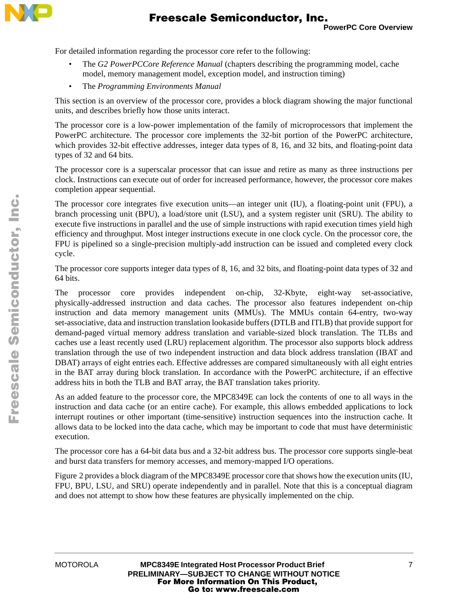

For detailed information regarding the processor core refer to the following:

- The *G2 PowerPCCore Reference Manual* (chapters describing the programming model, cache model, memory management model, exception model, and instruction timing)
- The *Programming Environments Manual*

This section is an overview of the processor core, provides a block diagram showing the major functional units, and describes briefly how those units interact.

The processor core is a low-power implementation of the family of microprocessors that implement the PowerPC architecture. The processor core implements the 32-bit portion of the PowerPC architecture, which provides 32-bit effective addresses, integer data types of 8, 16, and 32 bits, and floating-point data types of 32 and 64 bits.

The processor core is a superscalar processor that can issue and retire as many as three instructions per clock. Instructions can execute out of order for increased performance, however, the processor core makes completion appear sequential.

The processor core integrates five execution units—an integer unit (IU), a floating-point unit (FPU), a branch processing unit (BPU), a load/store unit (LSU), and a system register unit (SRU). The ability to execute five instructions in parallel and the use of simple instructions with rapid execution times yield high efficiency and throughput. Most integer instructions execute in one clock cycle. On the processor core, the FPU is pipelined so a single-precision multiply-add instruction can be issued and completed every clock cycle.

The processor core supports integer data types of 8, 16, and 32 bits, and floating-point data types of 32 and 64 bits.

The processor core provides independent on-chip, 32-Kbyte, eight-way set-associative, physically-addressed instruction and data caches. The processor also features independent on-chip instruction and data memory management units (MMUs). The MMUs contain 64-entry, two-way set-associative, data and instruction translation lookaside buffers (DTLB and ITLB) that provide support for demand-paged virtual memory address translation and variable-sized block translation. The TLBs and caches use a least recently used (LRU) replacement algorithm. The processor also supports block address translation through the use of two independent instruction and data block address translation (IBAT and DBAT) arrays of eight entries each. Effective addresses are compared simultaneously with all eight entries in the BAT array during block translation. In accordance with the PowerPC architecture, if an effective address hits in both the TLB and BAT array, the BAT translation takes priority.

As an added feature to the processor core, the MPC8349E can lock the contents of one to all ways in the instruction and data cache (or an entire cache). For example, this allows embedded applications to lock interrupt routines or other important (time-sensitive) instruction sequences into the instruction cache. It allows data to be locked into the data cache, which may be important to code that must have deterministic execution.

The processor core has a 64-bit data bus and a 32-bit address bus. The processor core supports single-beat and burst data transfers for memory accesses, and memory-mapped I/O operations.

[Figure 2](#page-7-0) provides a block diagram of the MPC8349E processor core that shows how the execution units (IU, FPU, BPU, LSU, and SRU) operate independently and in parallel. Note that this is a conceptual diagram and does not attempt to show how these features are physically implemented on the chip.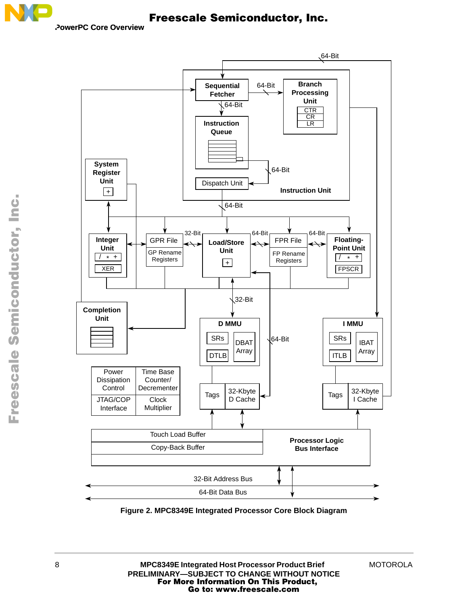

64-Bit  $64 - Bit$ 64-Bit 64-Bit 64-Bit 32-Bit **Branch Processing Unit** 64-Bit Data Bus 32-Bit Address Bus **Instruction Unit Integer Unit Floating-Point Unit** FPR File FP Rename Registers 32-Kbyte Tags  $\left| \begin{array}{c} 32 \text{ -} \text{nyyie} \\ \text{D} \text{ Cache} \end{array} \right|$ **Sequential Fetcher CTR** CR LR / \* + FPSCR **System Register Unit**  $* +$ **Processor Logic Bus Interface D MMU** SRs DTLB DBAT Array Touch Load Buffer Copy-Back Buffer Dispatch Unit 64-Bit Power Dissipation **Control Completion Unit** Time Base Counter/ **Decrementer** Clock **Multiplier** JTAG/COP Interface XER **I MMU** SRs ITLB IBAT Array 32-Kbyte  $\begin{array}{c|c}\n\text{Tags} & \text{J2-npyie} \\
\hline\n\end{array}$  $32-Bit$  64-Bit GPR File **Load/Store Unit**  $+$ GP Rename Registers **Instruction Queue**  $|+|$ 64-Bit

<span id="page-7-0"></span>**Figure 2. MPC8349E Integrated Processor Core Block Diagram**

.<br>ق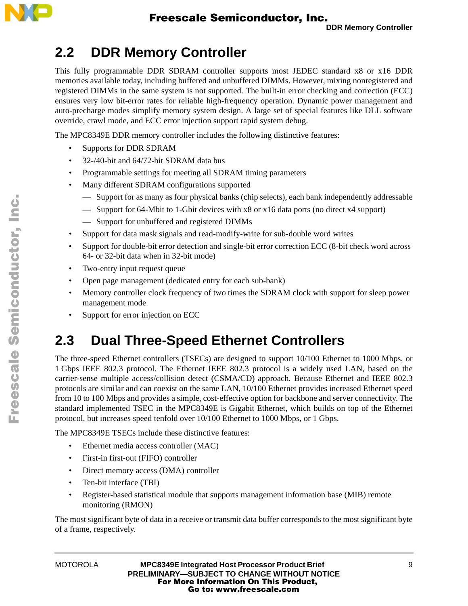## **2.2 DDR Memory Controller**

This fully programmable DDR SDRAM controller supports most JEDEC standard x8 or x16 DDR memories available today, including buffered and unbuffered DIMMs. However, mixing nonregistered and registered DIMMs in the same system is not supported. The built-in error checking and correction (ECC) ensures very low bit-error rates for reliable high-frequency operation. Dynamic power management and auto-precharge modes simplify memory system design. A large set of special features like DLL software override, crawl mode, and ECC error injection support rapid system debug.

The MPC8349E DDR memory controller includes the following distinctive features:

- Supports for DDR SDRAM
- 32-/40-bit and 64/72-bit SDRAM data bus
- Programmable settings for meeting all SDRAM timing parameters
- Many different SDRAM configurations supported
	- Support for as many as four physical banks (chip selects), each bank independently addressable
	- Support for 64-Mbit to 1-Gbit devices with x8 or x16 data ports (no direct x4 support)
	- Support for unbuffered and registered DIMMs
- Support for data mask signals and read-modify-write for sub-double word writes
- Support for double-bit error detection and single-bit error correction ECC (8-bit check word across 64- or 32-bit data when in 32-bit mode)
- Two-entry input request queue
- Open page management (dedicated entry for each sub-bank)
- Memory controller clock frequency of two times the SDRAM clock with support for sleep power management mode
- Support for error injection on ECC

## **2.3 Dual Three-Speed Ethernet Controllers**

The three-speed Ethernet controllers (TSECs) are designed to support 10/100 Ethernet to 1000 Mbps, or 1 Gbps IEEE 802.3 protocol. The Ethernet IEEE 802.3 protocol is a widely used LAN, based on the carrier-sense multiple access/collision detect (CSMA/CD) approach. Because Ethernet and IEEE 802.3 protocols are similar and can coexist on the same LAN, 10/100 Ethernet provides increased Ethernet speed from 10 to 100 Mbps and provides a simple, cost-effective option for backbone and server connectivity. The standard implemented TSEC in the MPC8349E is Gigabit Ethernet, which builds on top of the Ethernet protocol, but increases speed tenfold over 10/100 Ethernet to 1000 Mbps, or 1 Gbps.

The MPC8349E TSECs include these distinctive features:

- Ethernet media access controller (MAC)
- First-in first-out (FIFO) controller
- Direct memory access (DMA) controller
- Ten-bit interface (TBI)
- Register-based statistical module that supports management information base (MIB) remote monitoring (RMON)

The most significant byte of data in a receive or transmit data buffer corresponds to the most significant byte of a frame, respectively.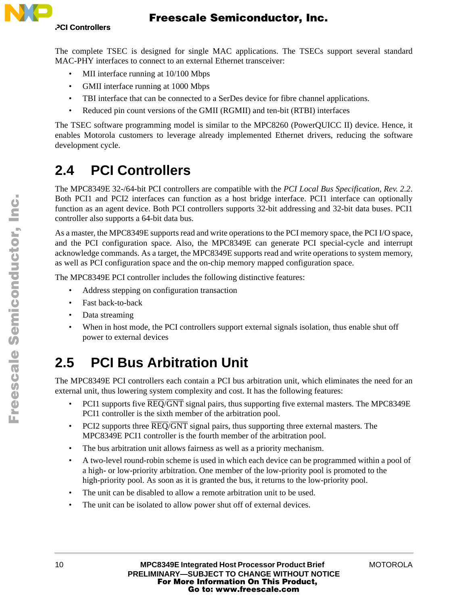

The complete TSEC is designed for single MAC applications. The TSECs support several standard MAC-PHY interfaces to connect to an external Ethernet transceiver:

- MII interface running at 10/100 Mbps
- GMII interface running at 1000 Mbps
- TBI interface that can be connected to a SerDes device for fibre channel applications.
- Reduced pin count versions of the GMII (RGMII) and ten-bit (RTBI) interfaces

The TSEC software programming model is similar to the MPC8260 (PowerQUICC II) device. Hence, it enables Motorola customers to leverage already implemented Ethernet drivers, reducing the software development cycle.

## **2.4 PCI Controllers**

The MPC8349E 32-/64-bit PCI controllers are compatible with the *PCI Local Bus Specification, Rev. 2.2*. Both PCI1 and PCI2 interfaces can function as a host bridge interface. PCI1 interface can optionally function as an agent device. Both PCI controllers supports 32-bit addressing and 32-bit data buses. PCI1 controller also supports a 64-bit data bus.

As a master, the MPC8349E supports read and write operations to the PCI memory space, the PCI I/O space, and the PCI configuration space. Also, the MPC8349E can generate PCI special-cycle and interrupt acknowledge commands. As a target, the MPC8349E supports read and write operations to system memory, as well as PCI configuration space and the on-chip memory mapped configuration space.

The MPC8349E PCI controller includes the following distinctive features:

- Address stepping on configuration transaction
- Fast back-to-back
- Data streaming
- When in host mode, the PCI controllers support external signals isolation, thus enable shut off power to external devices

## **2.5 PCI Bus Arbitration Unit**

The MPC8349E PCI controllers each contain a PCI bus arbitration unit, which eliminates the need for an external unit, thus lowering system complexity and cost. It has the following features:

- PCI1 supports five  $\overline{\text{REQ}}/\overline{\text{GNT}}$  signal pairs, thus supporting five external masters. The MPC8349E PCI1 controller is the sixth member of the arbitration pool.
- PCI2 supports three  $\overline{\text{REQ}}/\overline{\text{GNT}}$  signal pairs, thus supporting three external masters. The MPC8349E PCI1 controller is the fourth member of the arbitration pool.
- The bus arbitration unit allows fairness as well as a priority mechanism.
- A two-level round-robin scheme is used in which each device can be programmed within a pool of a high- or low-priority arbitration. One member of the low-priority pool is promoted to the high-priority pool. As soon as it is granted the bus, it returns to the low-priority pool.
- The unit can be disabled to allow a remote arbitration unit to be used.
- The unit can be isolated to allow power shut off of external devices.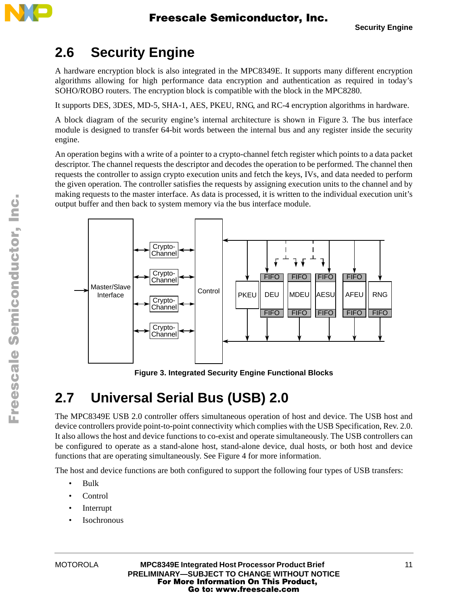

## **2.6 Security Engine**

A hardware encryption block is also integrated in the MPC8349E. It supports many different encryption algorithms allowing for high performance data encryption and authentication as required in today's SOHO/ROBO routers. The encryption block is compatible with the block in the MPC8280.

It supports DES, 3DES, MD-5, SHA-1, AES, PKEU, RNG, and RC-4 encryption algorithms in hardware.

A block diagram of the security engine's internal architecture is shown in [Figure 3.](#page-10-0) The bus interface module is designed to transfer 64-bit words between the internal bus and any register inside the security engine.

An operation begins with a write of a pointer to a crypto-channel fetch register which points to a data packet descriptor. The channel requests the descriptor and decodes the operation to be performed. The channel then requests the controller to assign crypto execution units and fetch the keys, IVs, and data needed to perform the given operation. The controller satisfies the requests by assigning execution units to the channel and by making requests to the master interface. As data is processed, it is written to the individual execution unit's output buffer and then back to system memory via the bus interface module.



**Figure 3. Integrated Security Engine Functional Blocks**

## <span id="page-10-0"></span>**2.7 Universal Serial Bus (USB) 2.0**

The MPC8349E USB 2.0 controller offers simultaneous operation of host and device. The USB host and device controllers provide point-to-point connectivity which complies with the USB Specification, Rev. 2.0. It also allows the host and device functions to co-exist and operate simultaneously. The USB controllers can be configured to operate as a stand-alone host, stand-alone device, dual hosts, or both host and device functions that are operating simultaneously. See [Figure 4](#page-11-0) for more information.

The host and device functions are both configured to support the following four types of USB transfers:

- Bulk
- Control
- Interrupt
- **Isochronous**

.<br>ق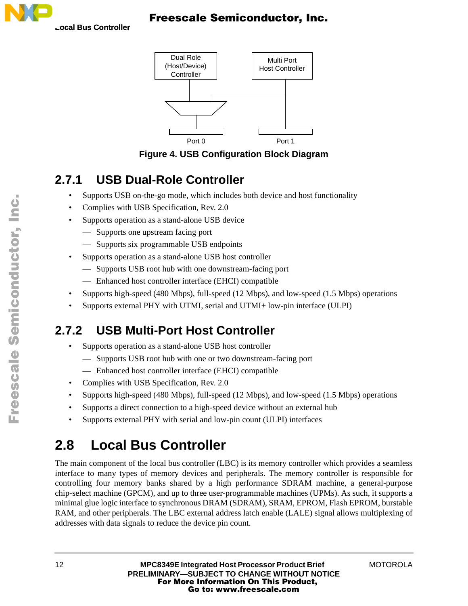



**Figure 4. USB Configuration Block Diagram**

### <span id="page-11-0"></span>**2.7.1 USB Dual-Role Controller**

- Supports USB on-the-go mode, which includes both device and host functionality
- Complies with USB Specification, Rev. 2.0
- Supports operation as a stand-alone USB device
	- Supports one upstream facing port
	- Supports six programmable USB endpoints
- Supports operation as a stand-alone USB host controller
	- Supports USB root hub with one downstream-facing port
	- Enhanced host controller interface (EHCI) compatible
- Supports high-speed (480 Mbps), full-speed (12 Mbps), and low-speed (1.5 Mbps) operations
- Supports external PHY with UTMI, serial and UTMI+ low-pin interface (ULPI)

### **2.7.2 USB Multi-Port Host Controller**

- Supports operation as a stand-alone USB host controller
	- Supports USB root hub with one or two downstream-facing port
	- Enhanced host controller interface (EHCI) compatible
- Complies with USB Specification, Rev. 2.0
- Supports high-speed (480 Mbps), full-speed (12 Mbps), and low-speed (1.5 Mbps) operations
- Supports a direct connection to a high-speed device without an external hub
- Supports external PHY with serial and low-pin count (ULPI) interfaces

## **2.8 Local Bus Controller**

The main component of the local bus controller (LBC) is its memory controller which provides a seamless interface to many types of memory devices and peripherals. The memory controller is responsible for controlling four memory banks shared by a high performance SDRAM machine, a general-purpose chip-select machine (GPCM), and up to three user-programmable machines (UPMs). As such, it supports a minimal glue logic interface to synchronous DRAM (SDRAM), SRAM, EPROM, Flash EPROM, burstable RAM, and other peripherals. The LBC external address latch enable (LALE) signal allows multiplexing of addresses with data signals to reduce the device pin count.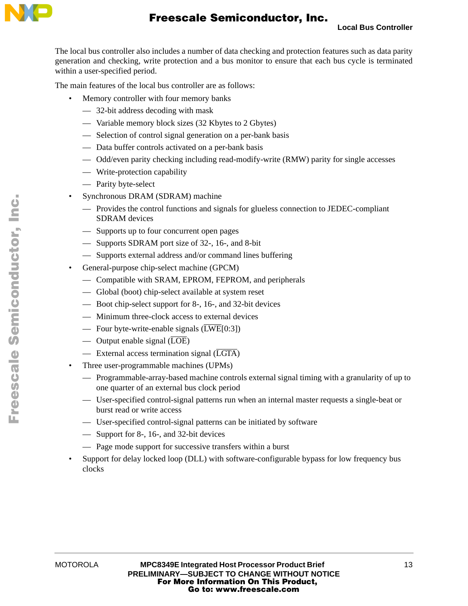

The local bus controller also includes a number of data checking and protection features such as data parity generation and checking, write protection and a bus monitor to ensure that each bus cycle is terminated within a user-specified period.

The main features of the local bus controller are as follows:

- Memory controller with four memory banks
- 32-bit address decoding with mask
- Variable memory block sizes (32 Kbytes to 2 Gbytes)
- Selection of control signal generation on a per-bank basis
- Data buffer controls activated on a per-bank basis
- Odd/even parity checking including read-modify-write (RMW) parity for single accesses
- Write-protection capability
- Parity byte-select
- Synchronous DRAM (SDRAM) machine
	- Provides the control functions and signals for glueless connection to JEDEC-compliant SDRAM devices
	- Supports up to four concurrent open pages
	- Supports SDRAM port size of 32-, 16-, and 8-bit
	- Supports external address and/or command lines buffering
- General-purpose chip-select machine (GPCM)
	- Compatible with SRAM, EPROM, FEPROM, and peripherals
	- Global (boot) chip-select available at system reset
	- Boot chip-select support for 8-, 16-, and 32-bit devices
	- Minimum three-clock access to external devices
	- Four byte-write-enable signals  $(\overline{\text{LWE}}[0:3])$
	- Output enable signal  $(\overline{\text{LOE}})$
	- External access termination signal  $(\overline{LGTA})$
- Three user-programmable machines (UPMs)
	- Programmable-array-based machine controls external signal timing with a granularity of up to one quarter of an external bus clock period
	- User-specified control-signal patterns run when an internal master requests a single-beat or burst read or write access
	- User-specified control-signal patterns can be initiated by software
	- Support for 8-, 16-, and 32-bit devices
	- Page mode support for successive transfers within a burst
- Support for delay locked loop (DLL) with software-configurable bypass for low frequency bus clocks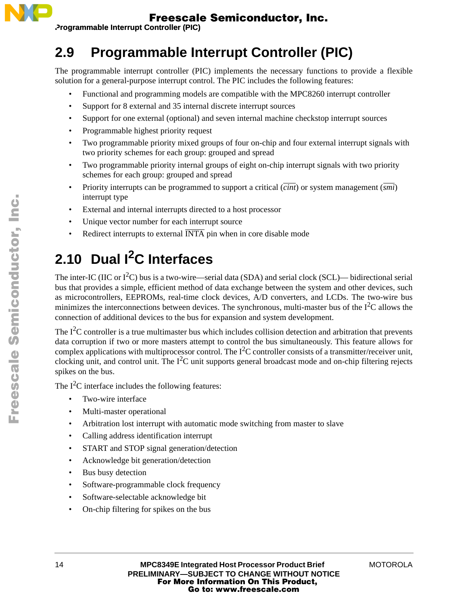

**Programmable Interrupt Controller (PIC)** 

## **2.9 Programmable Interrupt Controller (PIC)**

The programmable interrupt controller (PIC) implements the necessary functions to provide a flexible solution for a general-purpose interrupt control. The PIC includes the following features:

- Functional and programming models are compatible with the MPC8260 interrupt controller
- Support for 8 external and 35 internal discrete interrupt sources
- Support for one external (optional) and seven internal machine checkstop interrupt sources
- Programmable highest priority request
- Two programmable priority mixed groups of four on-chip and four external interrupt signals with two priority schemes for each group: grouped and spread
- Two programmable priority internal groups of eight on-chip interrupt signals with two priority schemes for each group: grouped and spread
- Priority interrupts can be programmed to support a critical (*cint*) or system management (*smi*) interrupt type
- External and internal interrupts directed to a host processor
- Unique vector number for each interrupt source
- Redirect interrupts to external  $\overline{INTA}$  pin when in core disable mode

# **2.10 Dual I2C Interfaces**

The inter-IC (IIC or  $I^2C$ ) bus is a two-wire—serial data (SDA) and serial clock (SCL)— bidirectional serial bus that provides a simple, efficient method of data exchange between the system and other devices, such as microcontrollers, EEPROMs, real-time clock devices, A/D converters, and LCDs. The two-wire bus minimizes the interconnections between devices. The synchronous, multi-master bus of the  $I<sup>2</sup>C$  allows the connection of additional devices to the bus for expansion and system development.

The  $I<sup>2</sup>C$  controller is a true multimaster bus which includes collision detection and arbitration that prevents data corruption if two or more masters attempt to control the bus simultaneously. This feature allows for complex applications with multiprocessor control. The  $I<sup>2</sup>C$  controller consists of a transmitter/receiver unit, clocking unit, and control unit. The  $I<sup>2</sup>C$  unit supports general broadcast mode and on-chip filtering rejects spikes on the bus.

The  $I^2C$  interface includes the following features:

- Two-wire interface
- Multi-master operational
- Arbitration lost interrupt with automatic mode switching from master to slave
- Calling address identification interrupt
- START and STOP signal generation/detection
- Acknowledge bit generation/detection
- Bus busy detection
- Software-programmable clock frequency
- Software-selectable acknowledge bit
- On-chip filtering for spikes on the bus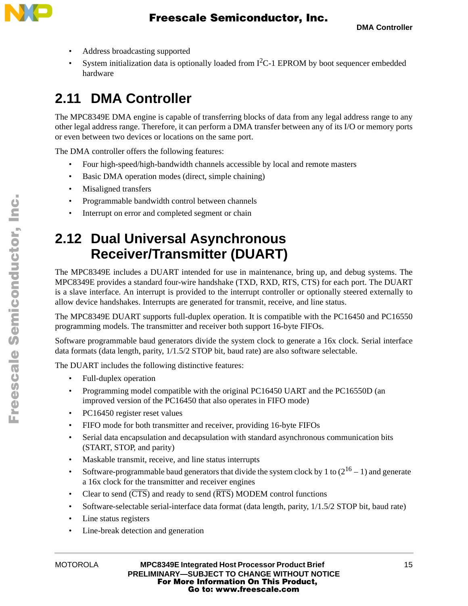

- Address broadcasting supported
- System initialization data is optionally loaded from  $I^2C-1$  EPROM by boot sequencer embedded hardware

## **2.11 DMA Controller**

The MPC8349E DMA engine is capable of transferring blocks of data from any legal address range to any other legal address range. Therefore, it can perform a DMA transfer between any of its I/O or memory ports or even between two devices or locations on the same port.

The DMA controller offers the following features:

- Four high-speed/high-bandwidth channels accessible by local and remote masters
- Basic DMA operation modes (direct, simple chaining)
- Misaligned transfers
- Programmable bandwidth control between channels
- Interrupt on error and completed segment or chain

## **2.12 Dual Universal Asynchronous Receiver/Transmitter (DUART)**

The MPC8349E includes a DUART intended for use in maintenance, bring up, and debug systems. The MPC8349E provides a standard four-wire handshake (TXD, RXD, RTS, CTS) for each port. The DUART is a slave interface. An interrupt is provided to the interrupt controller or optionally steered externally to allow device handshakes. Interrupts are generated for transmit, receive, and line status.

The MPC8349E DUART supports full-duplex operation. It is compatible with the PC16450 and PC16550 programming models. The transmitter and receiver both support 16-byte FIFOs.

Software programmable baud generators divide the system clock to generate a 16x clock. Serial interface data formats (data length, parity, 1/1.5/2 STOP bit, baud rate) are also software selectable.

The DUART includes the following distinctive features:

- Full-duplex operation
- Programming model compatible with the original PC16450 UART and the PC16550D (an improved version of the PC16450 that also operates in FIFO mode)
- PC16450 register reset values
- FIFO mode for both transmitter and receiver, providing 16-byte FIFOs
- Serial data encapsulation and decapsulation with standard asynchronous communication bits (START, STOP, and parity)
- Maskable transmit, receive, and line status interrupts
- Software-programmable baud generators that divide the system clock by 1 to  $(2^{16} 1)$  and generate a 16x clock for the transmitter and receiver engines
- Clear to send (CTS) and ready to send (RTS) MODEM control functions
- Software-selectable serial-interface data format (data length, parity,  $1/1.5/2$  STOP bit, baud rate)
- Line status registers
- Line-break detection and generation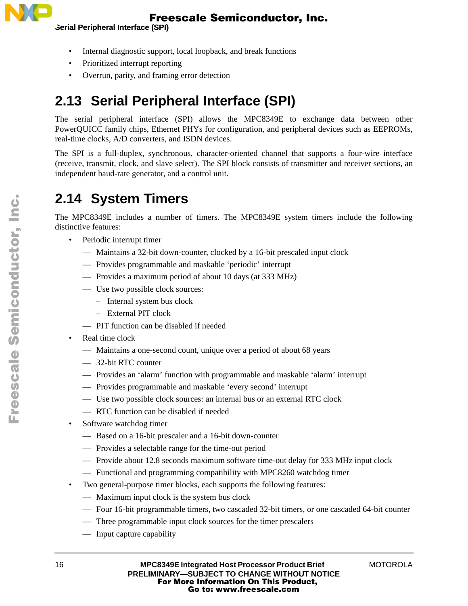**Serial Peripheral Interface (SPI)** 

- Internal diagnostic support, local loopback, and break functions
- Prioritized interrupt reporting
- Overrun, parity, and framing error detection

## **2.13 Serial Peripheral Interface (SPI)**

The serial peripheral interface (SPI) allows the MPC8349E to exchange data between other PowerQUICC family chips, Ethernet PHYs for configuration, and peripheral devices such as EEPROMs, real-time clocks, A/D converters, and ISDN devices.

The SPI is a full-duplex, synchronous, character-oriented channel that supports a four-wire interface (receive, transmit, clock, and slave select). The SPI block consists of transmitter and receiver sections, an independent baud-rate generator, and a control unit.

## **2.14 System Timers**

The MPC8349E includes a number of timers. The MPC8349E system timers include the following distinctive features:

- Periodic interrupt timer
	- Maintains a 32-bit down-counter, clocked by a 16-bit prescaled input clock
	- Provides programmable and maskable 'periodic' interrupt
	- Provides a maximum period of about 10 days (at 333 MHz)
	- Use two possible clock sources:
		- Internal system bus clock
		- External PIT clock
	- PIT function can be disabled if needed
- Real time clock
	- Maintains a one-second count, unique over a period of about 68 years
	- 32-bit RTC counter
	- Provides an 'alarm' function with programmable and maskable 'alarm' interrupt
	- Provides programmable and maskable 'every second' interrupt
	- Use two possible clock sources: an internal bus or an external RTC clock
	- RTC function can be disabled if needed
- Software watchdog timer
	- Based on a 16-bit prescaler and a 16-bit down-counter
	- Provides a selectable range for the time-out period
	- Provide about 12.8 seconds maximum software time-out delay for 333 MHz input clock
	- Functional and programming compatibility with MPC8260 watchdog timer
- Two general-purpose timer blocks, each supports the following features:
	- Maximum input clock is the system bus clock
	- Four 16-bit programmable timers, two cascaded 32-bit timers, or one cascaded 64-bit counter
	- Three programmable input clock sources for the timer prescalers
	- Input capture capability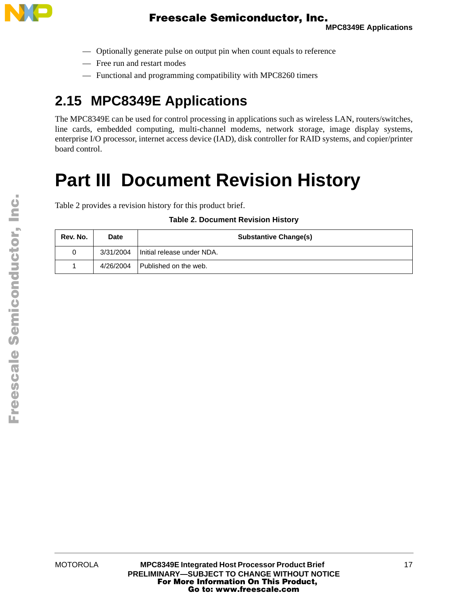

- Optionally generate pulse on output pin when count equals to reference
- Free run and restart modes
- Functional and programming compatibility with MPC8260 timers

## **2.15 MPC8349E Applications**

The MPC8349E can be used for control processing in applications such as wireless LAN, routers/switches, line cards, embedded computing, multi-channel modems, network storage, image display systems, enterprise I/O processor, internet access device (IAD), disk controller for RAID systems, and copier/printer board control.

# <span id="page-16-0"></span>**Part III Document Revision History**

<span id="page-16-1"></span>[Table 2](#page-16-1) provides a revision history for this product brief.

|  | <b>Table 2. Document Revision History</b> |  |  |
|--|-------------------------------------------|--|--|
|--|-------------------------------------------|--|--|

| Rev. No. | <b>Date</b> | <b>Substantive Change(s)</b> |
|----------|-------------|------------------------------|
|          | 3/31/2004   | Initial release under NDA.   |
|          | 4/26/2004   | Published on the web.        |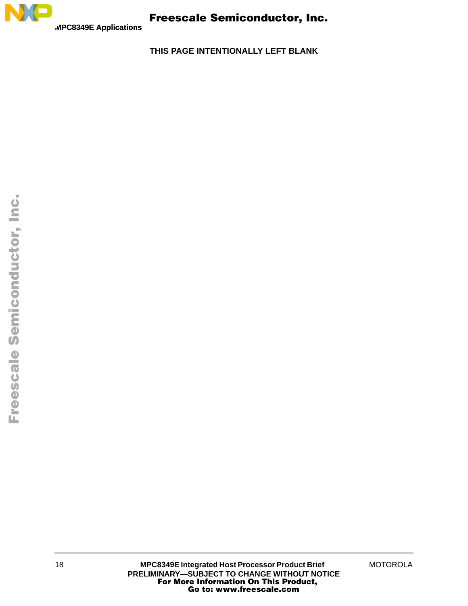

**THIS PAGE INTENTIONALLY LEFT BLANK**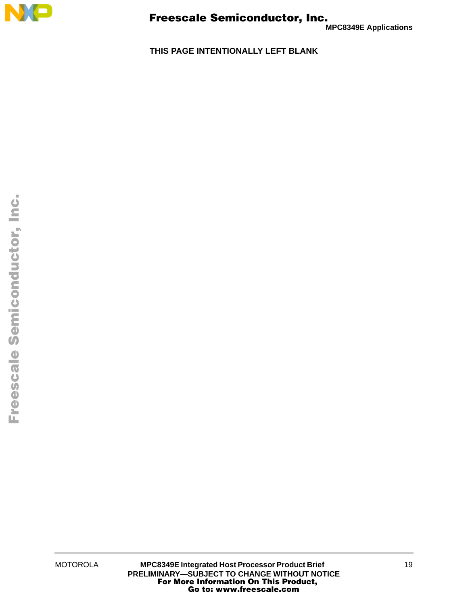

**MPC8349E Applications**

**THIS PAGE INTENTIONALLY LEFT BLANK**